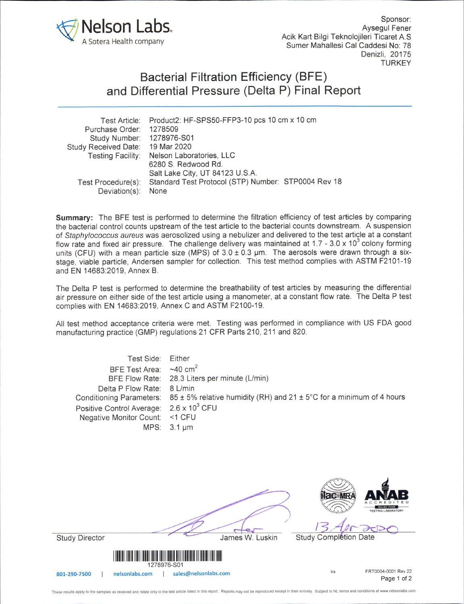

## Bacterial Filtration Efficiency (BFE) and Differential Pressure (Delta P) Final Report

|                           | Test Article: Product2: HF-SPS50-FFP3-10 pcs 10 cm x 10 cm |
|---------------------------|------------------------------------------------------------|
| Purchase Order: 1278509   |                                                            |
| Study Number: 1278976-S01 |                                                            |
| Study Received Date:      | 19 Mar 2020                                                |
| Testing Facility:         | Nelson Laboratories, LLC                                   |
|                           | 6280 S. Redwood Rd.                                        |
|                           | Salt Lake City, UT 84123 U.S.A.                            |
| Test Procedure(s):        | Standard Test Protocol (STP) Number: STP0004 Rev 18        |
| Deviation(s):             | None                                                       |

Summary: The BFE test is performed to determine the filtration efficiency of test articles by comparing the bacterial control counts upstream of the test article to the bacterial counts downstream. A suspension of Staphylococcus aureus was aerosolized using a nebulizer and delivered to the test article at a constant flow rate and fixed air pressure. The challenge delivery was maintained at 1.7 - 3.0 x 10<sup>3</sup> colony forming units (CFU) with a mean particle size (MPS) of  $3.0 \pm 0.3$  µm. The aerosols were drawn through a sixstage, viable particle, Andersen sampler for collection. This test method complies with ASTM F2101-19 and EN 14683:2019, Annex B.

The Delta P test is performed to determine the breathability of test articles by measuring the differential air pressure on either side of the test article using a manometer, at a constant flow rate. The Delta P test complies with EN 14683:2019, Annex C and ASTM F2100-19.

All test method acceptance criteria were met. Testing was performed in compliance with US FDA good manufacturing practice (GMP) regulations 21 CFR Parts 210, 211 and 820.

 $-\cdot$ .

| est Side:<br><b>BFE Test Area:</b><br><b>BFE Flow Rate:</b><br>Delta P Flow Rate:<br><b>Conditioning Parameters:</b><br>Positive Control Average:<br>Negative Monitor Count:<br>MPS: | <b>Lither</b><br>~40 cm <sup>2</sup><br>28.3 Liters per minute (L/min)<br>8 L/min<br>$85 \pm 5\%$ relative humidity (RH) and 21 $\pm$ 5°C for a minimum of 4 hours<br>$2.6 \times 10^3$ CFU<br><1 CFU<br>$3.1 \mu m$ |                                                |                                    |
|--------------------------------------------------------------------------------------------------------------------------------------------------------------------------------------|----------------------------------------------------------------------------------------------------------------------------------------------------------------------------------------------------------------------|------------------------------------------------|------------------------------------|
| <b>Study Director</b>                                                                                                                                                                | James W. Luskin                                                                                                                                                                                                      | <b>Hac-MRA</b><br><b>Study Complétion Date</b> |                                    |
| 1278976-S01<br>nelsonlabs.com<br>801-290-7500                                                                                                                                        | <b>THE MILITARY OF STATISTICS</b><br>sales@nelsonlabs.com                                                                                                                                                            | ks                                             | FRT0004-0001 Rev 22<br>Page 1 of 2 |